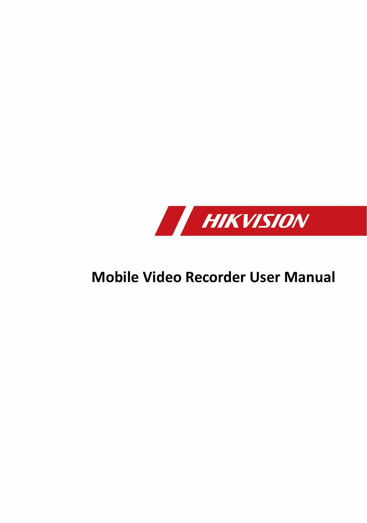

# **Mobile Video Recorder User Manual**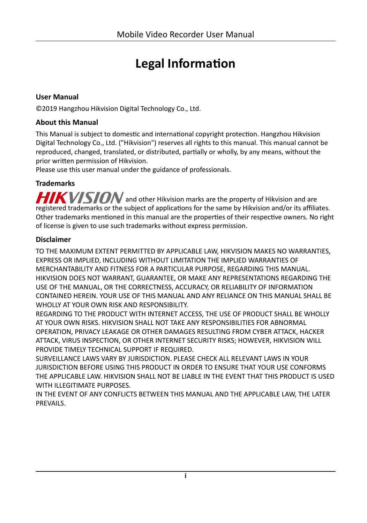# **Legal Information**

#### **User Manual**

©2019 Hangzhou Hikvision Digital Technology Co., Ltd.

#### **About this Manual**

This Manual is subject to domestic and international copyright protection. Hangzhou Hikvision Digital Technology Co., Ltd. ("Hikvision") reserves all rights to this manual. This manual cannot be reproduced, changed, translated, or distributed, partially or wholly, by any means, without the prior written permission of Hikvision.

Please use this user manual under the guidance of professionals.

#### **Trademarks**

 $HIKVISION$  and other Hikvision marks are the property of Hikvision and are registered trademarks or the subject of applications for the same by Hikvision and/or its affiliates. Other trademarks mentioned in this manual are the properties of their respective owners. No right of license is given to use such trademarks without express permission.

#### **Disclaimer**

TO THE MAXIMUM EXTENT PERMITTED BY APPLICABLE LAW, HIKVISION MAKES NO WARRANTIES, EXPRESS OR IMPLIED, INCLUDING WITHOUT LIMITATION THE IMPLIED WARRANTIES OF MERCHANTABILITY AND FITNESS FOR A PARTICULAR PURPOSE, REGARDING THIS MANUAL. HIKVISION DOES NOT WARRANT, GUARANTEE, OR MAKE ANY REPRESENTATIONS REGARDING THE USE OF THE MANUAL, OR THE CORRECTNESS, ACCURACY, OR RELIABILITY OF INFORMATION CONTAINED HEREIN. YOUR USE OF THIS MANUAL AND ANY RELIANCE ON THIS MANUAL SHALL BE WHOLLY AT YOUR OWN RISK AND RESPONSIBILITY.

REGARDING TO THE PRODUCT WITH INTERNET ACCESS, THE USE OF PRODUCT SHALL BE WHOLLY AT YOUR OWN RISKS. HIKVISION SHALL NOT TAKE ANY RESPONSIBILITIES FOR ABNORMAL OPERATION, PRIVACY LEAKAGE OR OTHER DAMAGES RESULTING FROM CYBER ATTACK, HACKER ATTACK, VIRUS INSPECTION, OR OTHER INTERNET SECURITY RISKS; HOWEVER, HIKVISION WILL PROVIDE TIMELY TECHNICAL SUPPORT IF REQUIRED.

SURVEILLANCE LAWS VARY BY JURISDICTION. PLEASE CHECK ALL RELEVANT LAWS IN YOUR JURISDICTION BEFORE USING THIS PRODUCT IN ORDER TO ENSURE THAT YOUR USE CONFORMS THE APPLICABLE LAW. HIKVISION SHALL NOT BE LIABLE IN THE EVENT THAT THIS PRODUCT IS USED WITH ILLEGITIMATE PURPOSES.

IN THE EVENT OF ANY CONFLICTS BETWEEN THIS MANUAL AND THE APPLICABLE LAW, THE LATER PREVAILS.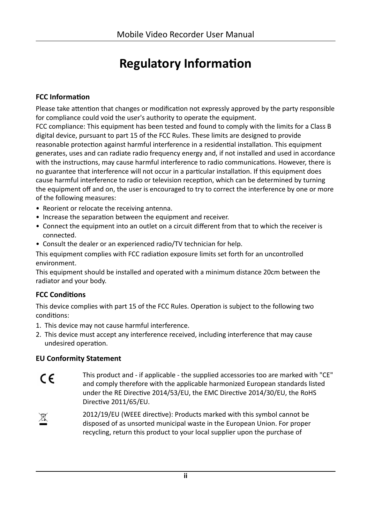# **Regulatory Information**

#### **FCC Information**

Please take attention that changes or modification not expressly approved by the party responsible for compliance could void the user's authority to operate the equipment.

FCC compliance: This equipment has been tested and found to comply with the limits for a Class B digital device, pursuant to part 15 of the FCC Rules. These limits are designed to provide reasonable protection against harmful interference in a residential installation. This equipment generates, uses and can radiate radio frequency energy and, if not installed and used in accordance with the instructions, may cause harmful interference to radio communications. However, there is no guarantee that interference will not occur in a particular installation. If this equipment does cause harmful interference to radio or television reception, which can be determined by turning the equipment off and on, the user is encouraged to try to correct the interference by one or more of the following measures:

- Reorient or relocate the receiving antenna.
- Increase the separation between the equipment and receiver.
- Connect the equipment into an outlet on a circuit different from that to which the receiver is connected.
- Consult the dealer or an experienced radio/TV technician for help.

This equipment complies with FCC radiation exposure limits set forth for an uncontrolled environment.

This equipment should be installed and operated with a minimum distance 20cm between the radiator and your body.

#### **FCC Conditions**

This device complies with part 15 of the FCC Rules. Operation is subject to the following two conditions:

- 1. This device may not cause harmful interference.
- 2. This device must accept any interference received, including interference that may cause undesired operation.

#### **EU Conformity Statement**

- This product and if applicable the supplied accessories too are marked with "CE"  $\epsilon$ and comply therefore with the applicable harmonized European standards listed under the RE Directive 2014/53/EU, the EMC Directive 2014/30/EU, the RoHS Directive 2011/65/EU.
- 2012/19/EU (WEEE directive): Products marked with this symbol cannot be  $\cancel{R}$ disposed of as unsorted municipal waste in the European Union. For proper recycling, return this product to your local supplier upon the purchase of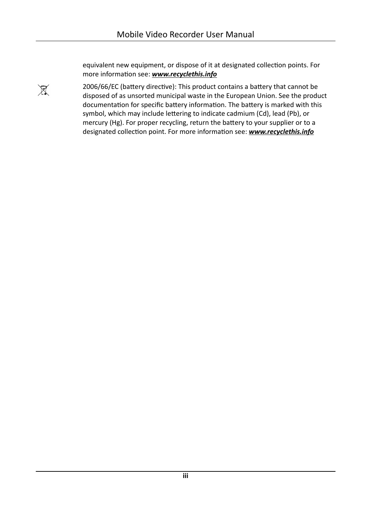$\cancel{R}$ 

equivalent new equipment, or dispose of it at designated collection points. For more information see: **[www.recyclethis.info](http://www.recyclethis.info)** 

2006/66/EC (battery directive): This product contains a battery that cannot be disposed of as unsorted municipal waste in the European Union. See the product documentation for specific battery information. The battery is marked with this symbol, which may include lettering to indicate cadmium (Cd), lead (Pb), or mercury (Hg). For proper recycling, return the battery to your supplier or to a designated collection point. For more information see: **[www.recyclethis.info](http://www.recyclethis.info)**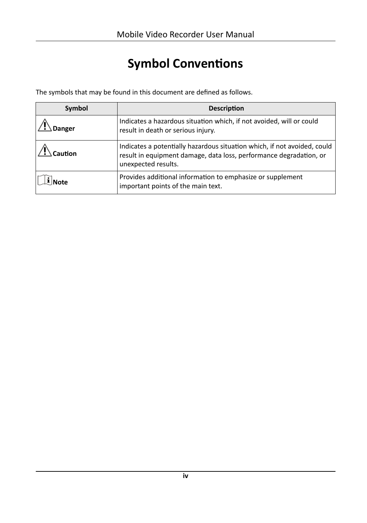# **Symbol Conventions**

The symbols that may be found in this document are defined as follows.

| Symbol | <b>Description</b>                                                                                                                                                    |
|--------|-----------------------------------------------------------------------------------------------------------------------------------------------------------------------|
| )anger | Indicates a hazardous situation which, if not avoided, will or could<br>result in death or serious injury.                                                            |
|        | Indicates a potentially hazardous situation which, if not avoided, could<br>result in equipment damage, data loss, performance degradation, or<br>unexpected results. |
|        | Provides additional information to emphasize or supplement<br>important points of the main text.                                                                      |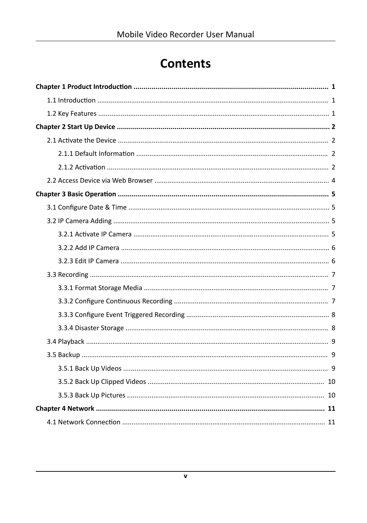# **Contents**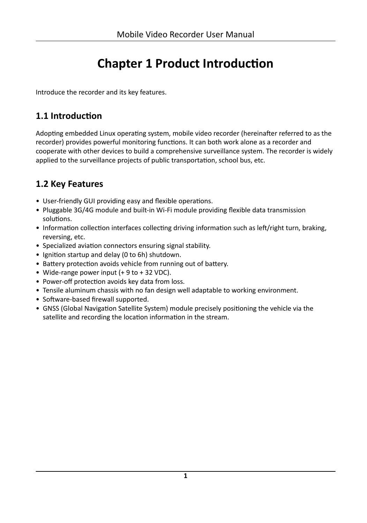# **Chapter 1 Product Introduction**

<span id="page-10-0"></span>Introduce the recorder and its key features.

## 1.1 Introduction

Adopting embedded Linux operating system, mobile video recorder (hereinafter referred to as the recorder) provides powerful monitoring functions. It can both work alone as a recorder and cooperate with other devices to build a comprehensive surveillance system. The recorder is widely applied to the surveillance projects of public transportation, school bus, etc.

# 1.2 Key Features

- User-friendly GUI providing easy and flexible operations.
- Pluggable 3G/4G module and built-in Wi-Fi module providing flexible data transmission solutions.
- Information collection interfaces collecting driving information such as left/right turn, braking, reversing, etc.
- Specialized aviation connectors ensuring signal stability.
- Ignition startup and delay (0 to 6h) shutdown.
- Battery protection avoids vehicle from running out of battery.
- Wide-range power input  $(+ 9$  to  $+ 32$  VDC).
- Power-off protection avoids key data from loss.
- Tensile aluminum chassis with no fan design well adaptable to working environment.
- Software-based firewall supported.
- GNSS (Global Navigation Satellite System) module precisely positioning the vehicle via the satellite and recording the location information in the stream.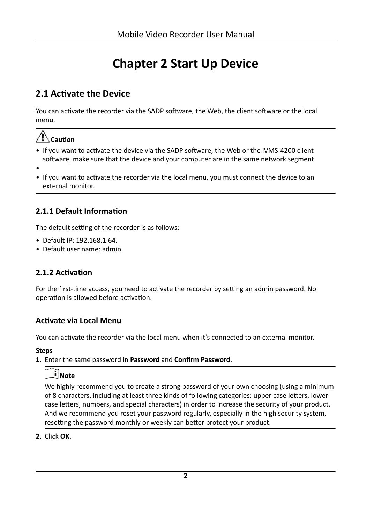# **Chapter 2 Start Up Device**

## <span id="page-11-0"></span>**2.1 Activate the Device**

You can activate the recorder via the SADP software, the Web, the client software or the local menu.

# $\hat{\mathcal{A}}$  Caution

- If you want to activate the device via the SADP software, the Web or the iVMS-4200 client software, make sure that the device and your computer are in the same network segment.
- •
- If you want to activate the recorder via the local menu, you must connect the device to an external monitor.

## **2.1.1 Default Information**

The default setting of the recorder is as follows:

- Default IP: 192.168.1.64.
- Default user name: admin.

### **2.1.2 Activation**

For the first-time access, you need to activate the recorder by setting an admin password. No operation is allowed before activation.

#### **Activate via Local Menu**

You can activate the recorder via the local menu when it's connected to an external monitor.

#### **Steps**

1. Enter the same password in **Password** and **Confirm Password**.

# **Note**

We highly recommend you to create a strong password of your own choosing (using a minimum of 8 characters, including at least three kinds of following categories: upper case letters, lower case letters, numbers, and special characters) in order to increase the security of your product. And we recommend you reset your password regularly, especially in the high security system, resetting the password monthly or weekly can better protect your product.

**2.** Click **OK**.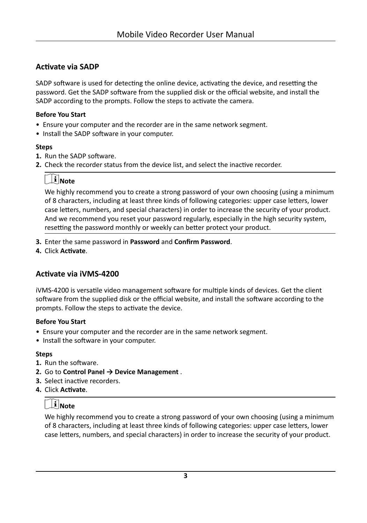### **Activate via SADP**

SADP software is used for detecting the online device, activating the device, and resetting the password. Get the SADP software from the supplied disk or the official website, and install the SADP according to the prompts. Follow the steps to activate the camera.

#### **Before You Start**

- Ensure your computer and the recorder are in the same network segment.
- Install the SADP software in your computer.

#### **Steps**

- **1.** Run the SADP software.
- **2.** Check the recorder status from the device list, and select the inactive recorder.

## $\mathbf{I}^{\mathbf{i}}$  Note

We highly recommend you to create a strong password of your own choosing (using a minimum of 8 characters, including at least three kinds of following categories: upper case letters, lower case letters, numbers, and special characters) in order to increase the security of your product. And we recommend you reset your password regularly, especially in the high security system, resetting the password monthly or weekly can better protect your product.

- **3.** Enter the same password in **Password** and **Confirm Password**.
- **4.** Click **Activate**.

#### **Activate via iVMS-4200**

iVMS-4200 is versatile video management software for multiple kinds of devices. Get the client software from the supplied disk or the official website, and install the software according to the prompts. Follow the steps to activate the device.

#### **Before You Start**

- Ensure your computer and the recorder are in the same network segment.
- Install the software in your computer.

#### **Steps**

- **1.** Run the software.
- **2.** Go to **Control Panel → Device Management** .
- **3.** Select inactive recorders.
- **4.** Click **Activate**.

# **Note**

We highly recommend you to create a strong password of your own choosing (using a minimum of 8 characters, including at least three kinds of following categories: upper case letters, lower case letters, numbers, and special characters) in order to increase the security of your product.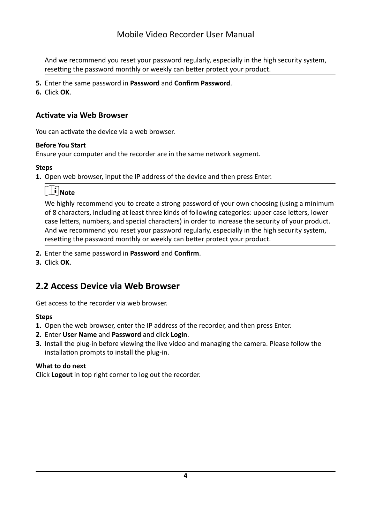<span id="page-13-0"></span>And we recommend you reset your password regularly, especially in the high security system, resetting the password monthly or weekly can better protect your product.

- **5.** Enter the same password in **Password** and **Confirm Password**.
- **6.** Click **OK**.

#### **Activate via Web Browser**

You can activate the device via a web browser.

#### **Before You Start**

Ensure your computer and the recorder are in the same network segment.

#### **Steps**

**1.** Open web browser, input the IP address of the device and then press Enter.

# **Note**

We highly recommend you to create a strong password of your own choosing (using a minimum of 8 characters, including at least three kinds of following categories: upper case letters, lower case letters, numbers, and special characters) in order to increase the security of your product. And we recommend you reset your password regularly, especially in the high security system, resetting the password monthly or weekly can better protect your product.

- **2.** Enter the same password in **Password** and **Confirm**.
- **3.** Click **OK**.

## **2.2 Access Device via Web Browser**

Get access to the recorder via web browser.

#### **Steps**

- **1.** Open the web browser, enter the IP address of the recorder, and then press Enter.
- **2.** Enter **User Name** and **Password** and click **Login**.
- **3.** Install the plug-in before viewing the live video and managing the camera. Please follow the installation prompts to install the plug-in.

#### **What to do next**

Click **Logout** in top right corner to log out the recorder.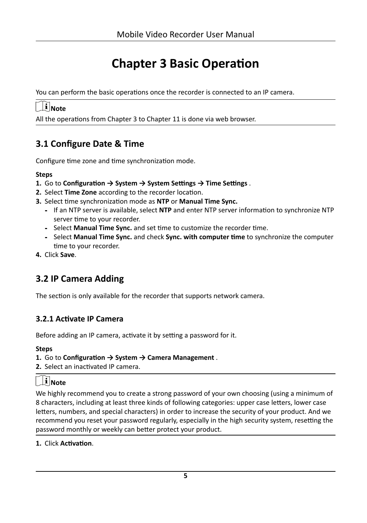# **Chapter 3 Basic Operation**

<span id="page-14-0"></span>You can perform the basic operations once the recorder is connected to an IP camera.

# $\widetilde{\mathbf{a}}$  Note

All the operations from Chapter 3 to Chapter 11 is done via web browser.

## **3.1 Configure Date & Time**

Configure time zone and time synchronization mode.

#### **Steps**

- **1.** Go to Configuration → System → System Settings → Time Settings .
- **2.** Select **Time Zone** according to the recorder location.
- **3.** Select time synchronization mode as NTP or Manual Time Sync.
	- **-** If an NTP server is available, select NTP and enter NTP server information to synchronize NTP server time to your recorder.
	- **-** Select **Manual Time Sync.** and set time to customize the recorder time.
	- **-** Select **Manual Time Sync.** and check **Sync. with computer time** to synchronize the computer time to your recorder.
- **4.** Click **Save**.

# **3.2 IP Camera Adding**

The section is only available for the recorder that supports network camera.

### **3.2.1 Activate IP Camera**

Before adding an IP camera, activate it by setting a password for it.

#### **Steps**

#### **1.** Go to Configuration → System → Camera Management.

**2.** Select an inactivated IP camera.

# $\widetilde{\mathbf{1}}$  Note

We highly recommend you to create a strong password of your own choosing (using a minimum of 8 characters, including at least three kinds of following categories: upper case letters, lower case letters, numbers, and special characters) in order to increase the security of your product. And we recommend you reset your password regularly, especially in the high security system, resetting the password monthly or weekly can better protect your product.

**1.** Click **Activation**.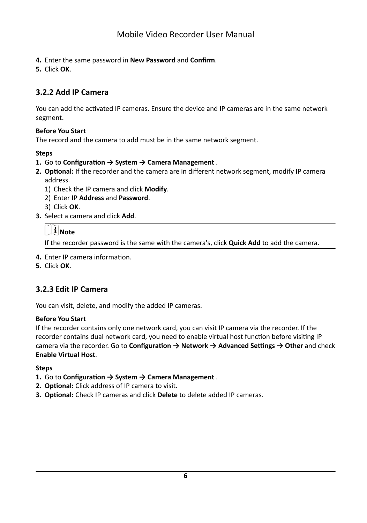- <span id="page-15-0"></span>4. Enter the same password in **New Password** and **Confirm**.
- **5.** Click **OK**.

## **3.2.2 Add IP Camera**

You can add the activated IP cameras. Ensure the device and IP cameras are in the same network segment.

#### **Before You Start**

The record and the camera to add must be in the same network segment.

#### **Steps**

- **1.** Go to Configuration → System → Camera Management.
- 2. **Optional:** If the recorder and the camera are in different network segment, modify IP camera address.
	- 1) Check the IP camera and click **Modify**.
	- 2) Enter **IP Address** and **Password**.
	- 3) Click **OK**.
- **3.** Select a camera and click **Add**.

## $\mathbf{i}$  Note

If the recorder password is the same with the camera's, click **Quick Add** to add the camera.

- **4.** Enter IP camera information.
- **5.** Click **OK**.

### **3.2.3 Edit IP Camera**

You can visit, delete, and modify the added IP cameras.

#### **Before You Start**

If the recorder contains only one network card, you can visit IP camera via the recorder. If the recorder contains dual network card, you need to enable virtual host function before visiting IP camera via the recorder. Go to *Configuration* → Network → Advanced Settings → Other and check **Enable Virtual Host**.

- **1.** Go to Configuration → System → Camera Management.
- 2. Optional: Click address of IP camera to visit.
- **3. Optional:** Check IP cameras and click Delete to delete added IP cameras.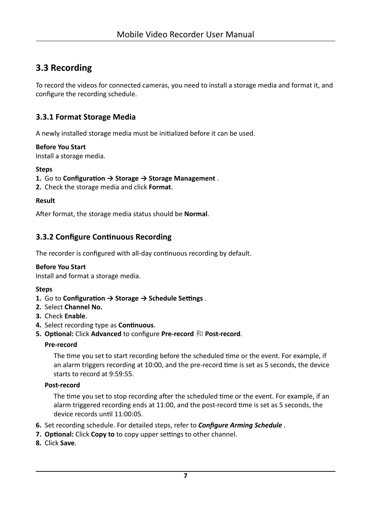## <span id="page-16-0"></span>3.3 Recording

To record the videos for connected cameras, you need to install a storage media and format it, and configure the recording schedule.

### 3.3.1 Format Storage Media

A newly installed storage media must be initialized before it can be used.

#### **Before You Start**

Install a storage media.

#### **Steps**

- 1. Go to Configuration  $\rightarrow$  Storage  $\rightarrow$  Storage Management.
- 2. Check the storage media and click Format.

#### **Result**

After format, the storage media status should be Normal.

### 3.3.2 Configure Continuous Recording

The recorder is configured with all-day continuous recording by default.

#### **Before You Start**

Install and format a storage media.

#### **Steps**

- 1. Go to Configuration  $\rightarrow$  Storage  $\rightarrow$  Schedule Settings.
- 2. Select Channel No.
- 3. Check Fnable.
- 4. Select recording type as Continuous.
- 5. Optional: Click Advanced to configure Pre-record 和 Post-record.

#### Pre-record

The time you set to start recording before the scheduled time or the event. For example, if an alarm triggers recording at 10:00, and the pre-record time is set as 5 seconds, the device starts to record at 9:59:55.

#### Post-record

The time you set to stop recording after the scheduled time or the event. For example, if an alarm triggered recording ends at 11:00, and the post-record time is set as 5 seconds, the device records until 11:00:05.

- 6. Set recording schedule. For detailed steps, refer to **Configure Arming Schedule**.
- 7. Optional: Click Copy to to copy upper settings to other channel.
- 8. Click Save.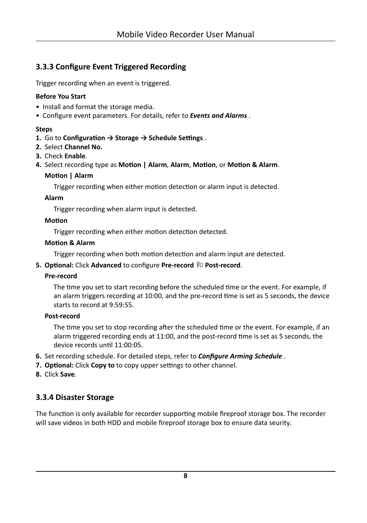## <span id="page-17-0"></span>**3.3.3 Configure Event Triggered Recording**

Trigger recording when an event is triggered.

#### **Before You Start**

- Install and format the storage media.
- Configure event parameters. For details, refer to *[Events and Alarms](#page-37-0)* .

#### **Steps**

- **1.** Go to Configuration → Storage → Schedule Settings.
- **2.** Select **Channel No.**
- **3.** Check **Enable**.
- **4.** Select recording type as **Motion | Alarm, Alarm, Motion, or Motion & Alarm.**

#### **Motion | Alarm**

Trigger recording when either motion detection or alarm input is detected.

#### **Alarm**

Trigger recording when alarm input is detected.

#### **Motion**

Trigger recording when either motion detection detected.

#### **Motion & Alarm**

Trigger recording when both motion detection and alarm input are detected.

#### **5. Optional: Click Advanced** to configure Pre-record 和 Post-record.

#### **Pre-record**

The time you set to start recording before the scheduled time or the event. For example, if an alarm triggers recording at 10:00, and the pre-record time is set as 5 seconds, the device starts to record at 9:59:55.

#### **Post-record**

The time you set to stop recording after the scheduled time or the event. For example, if an alarm triggered recording ends at 11:00, and the post-record time is set as 5 seconds, the device records until 11:00:05.

- 6. Set recording schedule. For detailed steps, refer to **Configure Arming Schedule**.
- **7. Optional:** Click **Copy to** to copy upper settings to other channel.
- **8.** Click **Save**.

### **3.3.4 Disaster Storage**

The function is only available for recorder supporting mobile fireproof storage box. The recorder will save videos in both HDD and mobile fireproof storage box to ensure data seurity.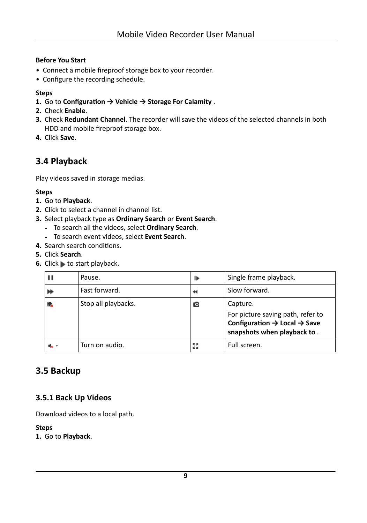#### <span id="page-18-0"></span>**Before You Start**

- Connect a mobile fireproof storage box to your recorder.
- Configure the recording schedule.

#### **Steps**

- **1.** Go to Configuration → Vehicle → Storage For Calamity .
- **2.** Check **Enable**.
- **3.** Check **Redundant Channel**. The recorder will save the videos of the selected channels in both HDD and mobile fireproof storage box.
- **4.** Click **Save**.

## **3.4 Playback**

Play videos saved in storage medias.

#### **Steps**

- **1.** Go to **Playback**.
- **2.** Click to select a channel in channel list.
- **3.** Select playback type as **Ordinary Search** or **Event Search**.
	- **-** To search all the videos, select **Ordinary Search**.
	- **-** To search event videos, select **Event Search**.
- **4.** Search search conditions.
- **5.** Click **Search**.
- **6.** Click to start playback.

| Pause.              | ₽           | Single frame playback.                                                                                                   |
|---------------------|-------------|--------------------------------------------------------------------------------------------------------------------------|
| Fast forward.       |             | Slow forward.                                                                                                            |
| Stop all playbacks. | ГO          | Capture.                                                                                                                 |
|                     |             | For picture saving path, refer to<br>Configuration $\rightarrow$ Local $\rightarrow$ Save<br>snapshots when playback to. |
| Turn on audio.      | 成具<br>MC 36 | Full screen.                                                                                                             |

## **3.5 Backup**

#### **3.5.1 Back Up Videos**

Download videos to a local path.

#### **Steps**

**1.** Go to **Playback**.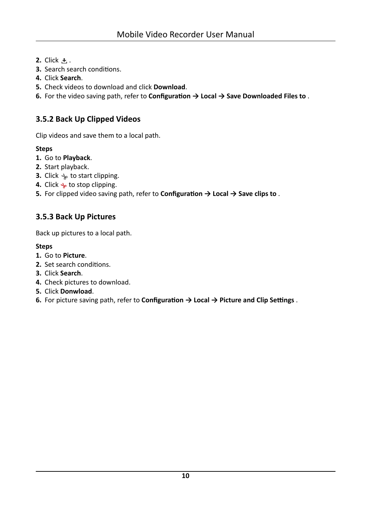- <span id="page-19-0"></span>**2.** Click **土**.
- **3.** Search search conditions.
- **4.** Click **Search**.
- **5.** Check videos to download and click **Download**.
- **6.** For the video saving path, refer to **Configuration → Local → Save Downloaded Files to** .

## **3.5.2 Back Up Clipped Videos**

Clip videos and save them to a local path.

#### **Steps**

- **1.** Go to **Playback**.
- **2.** Start playback.
- **3.** Click  $\rightarrow$  to start clipping.
- **4.** Click  $\rightarrow$  to stop clipping.
- **5.** For clipped video saving path, refer to **Configuration → Local → Save clips to** .

## **3.5.3 Back Up Pictures**

Back up pictures to a local path.

- **1.** Go to **Picture**.
- **2.** Set search conditions.
- **3.** Click **Search**.
- **4.** Check pictures to download.
- **5.** Click **Donwload**.
- **6.** For picture saving path, refer to **Configuration → Local → Picture and Clip Settings.**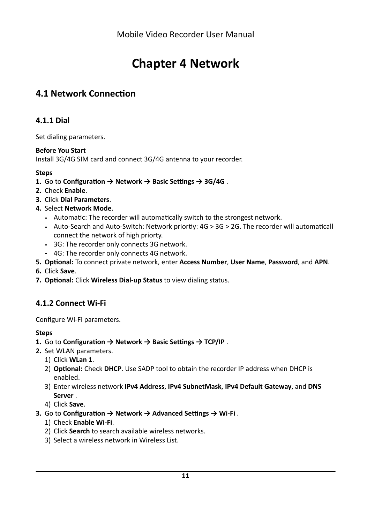# **Chapter 4 Network**

## <span id="page-20-0"></span>**4.1 Network Connection**

### **4.1.1 Dial**

Set dialing parameters.

#### **Before You Start**

Install 3G/4G SIM card and connect 3G/4G antenna to your recorder.

#### **Steps**

- 1. Go to Configuration → Network → Basic Settings → 3G/4G.
- 2. Check Enable.
- 3. Click Dial Parameters.
- 4. Select Network Mode.
	- Automatic: The recorder will automatically switch to the strongest network.
	- Auto-Search and Auto-Switch: Network priortiy: 4G > 3G > 2G. The recorder will automaticall connect the network of high priorty.
	- 3G: The recorder only connects 3G network.
	- 4G: The recorder only connects 4G network.
- 5. Optional: To connect private network, enter Access Number, User Name, Password, and APN.
- 6. Click Save.
- 7. Optional: Click Wireless Dial-up Status to view dialing status.

### 4.1.2 Connect Wi-Fi

Configure Wi-Fi parameters.

- 1. Go to Configuration  $\rightarrow$  Network  $\rightarrow$  Basic Settings  $\rightarrow$  TCP/IP.
- 2. Set WLAN parameters.
	- 1) Click WLan 1.
	- 2) Optional: Check DHCP. Use SADP tool to obtain the recorder IP address when DHCP is enabled.
	- 3) Enter wireless network IPv4 Address, IPv4 SubnetMask, IPv4 Default Gateway, and DNS Server.
	- 4) Click Save.
- 3. Go to Configuration  $\rightarrow$  Network  $\rightarrow$  Advanced Settings  $\rightarrow$  Wi-Fi.
	- 1) Check Enable Wi-Fi.
	- 2) Click Search to search available wireless networks.
	- 3) Select a wireless network in Wireless List.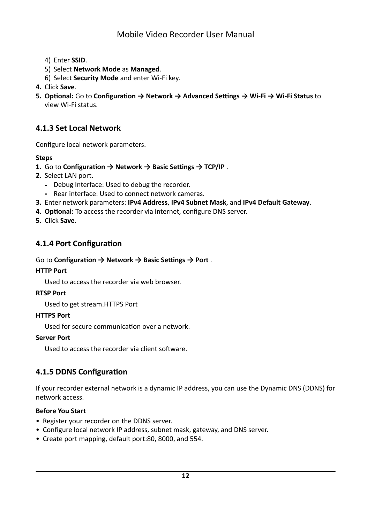- <span id="page-21-0"></span>4) Enter **SSID**.
- 5) Select **Network Mode** as **Managed**.
- 6) Select **Security Mode** and enter Wi-Fi key.
- **4.** Click **Save**.
- **5. Optional:** Go to **Configuration** → Network → Advanced Settings → Wi-Fi → Wi-Fi Status to view Wi-Fi status.

#### **4.1.3 Set Local Network**

Configure local network parameters.

#### **Steps**

- **1.** Go to Configuration → Network → Basic Settings → TCP/IP.
- **2.** Select LAN port.
	- **-** Debug Interface: Used to debug the recorder.
	- **-** Rear interface: Used to connect network cameras.
- **3.** Enter network parameters: **IPv4 Address**, **IPv4 Subnet Mask**, and **IPv4 Default Gateway**.
- 4. **Optional:** To access the recorder via internet, configure DNS server.
- **5.** Click **Save**.

#### **4.1.4 Port Configuration**

#### Go to **Configuration → Network → Basic Settings → Port** .

#### **HTTP Port**

Used to access the recorder via web browser.

#### **RTSP Port**

Used to get stream.HTTPS Port

#### **HTTPS Port**

Used for secure communication over a network.

#### **Server Port**

Used to access the recorder via client software.

#### **4.1.5 DDNS Configuration**

If your recorder external network is a dynamic IP address, you can use the Dynamic DNS (DDNS) for network access.

#### **Before You Start**

- Register your recorder on the DDNS server.
- Configure local network IP address, subnet mask, gateway, and DNS server.
- Create port mapping, default port:80, 8000, and 554.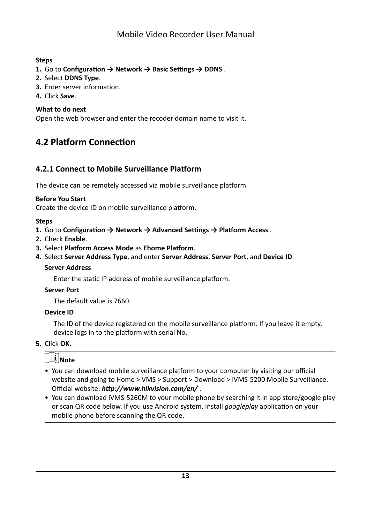#### <span id="page-22-0"></span>**Steps**

- 1. Go to Configuration  $\rightarrow$  Network  $\rightarrow$  Basic Settings  $\rightarrow$  DDNS.
- 2. Select DDNS Type.
- 3. Enter server information.
- 4. Click Save.

#### What to do next

Open the web browser and enter the recoder domain name to visit it.

# **4.2 Platform Connection**

### 4.2.1 Connect to Mobile Surveillance Platform

The device can be remotely accessed via mobile surveillance platform.

#### **Before You Start**

Create the device ID on mobile surveillance platform.

#### **Steps**

- 1. Go to Configuration  $\rightarrow$  Network  $\rightarrow$  Advanced Settings  $\rightarrow$  Platform Access.
- 2. Check Enable.
- 3. Select Platform Access Mode as Ehome Platform.
- 4. Select Server Address Type, and enter Server Address, Server Port, and Device ID.

#### **Server Address**

Enter the static IP address of mobile surveillance platform.

#### **Server Port**

The default value is 7660.

#### **Device ID**

The ID of the device registered on the mobile surveillance platform. If you leave it empty, device logs in to the platform with serial No.

#### 5. Click OK.

# $\widetilde{\mathbf{F}}$  Note

- You can download mobile surveillance platform to your computer by visiting our official website and going to Home > VMS > Support > Download > iVMS-5200 Mobile Surveillance. Official website: http://www.hikvision.com/en/.
- You can download iVMS-5260M to your mobile phone by searching it in app store/google play or scan QR code below. If you use Android system, install *googleplay* application on your mobile phone before scanning the QR code.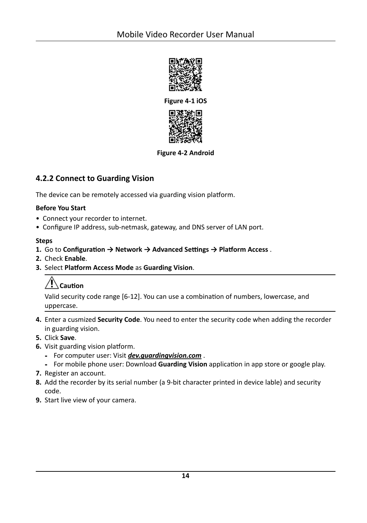<span id="page-23-0"></span>

**Figure 4-1 iOS**



#### **Figure 4-2 Android**

#### **4.2.2 Connect to Guarding Vision**

The device can be remotely accessed via guarding vision platform.

#### **Before You Start**

- Connect your recorder to internet.
- Configure IP address, sub-netmask, gateway, and DNS server of LAN port.

#### **Steps**

- **1.** Go to Configuration → Network → Advanced Settings → Platform Access .
- **2.** Check **Enable**.
- **3. Select Platform Access Mode as Guarding Vision.**

# **Caution**

Valid security code range [6-12]. You can use a combination of numbers, lowercase, and uppercase.

- **4.** Enter a cusmized **Security Code**. You need to enter the security code when adding the recorder in guarding vision.
- **5.** Click **Save**.
- **6.** Visit guarding vision platform.
	- **-** For computer user: Visit *dev.guardingvision.com* .
	- **-** For mobile phone user: Download **Guarding Vision** application in app store or google play.
- **7.** Register an account.
- **8.** Add the recorder by its serial number (a 9-bit character printed in device lable) and security code.
- **9.** Start live view of your camera.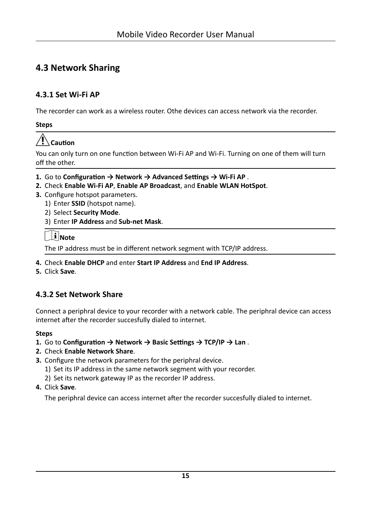# <span id="page-24-0"></span>**4.3 Network Sharing**

### 4.3.1 Set Wi-Fi AP

The recorder can work as a wireless router. Othe devices can access network via the recorder.

**Steps** 

# $\bigwedge$  Caution

You can only turn on one function between Wi-Fi AP and Wi-Fi. Turning on one of them will turn off the other.

- 1. Go to Configuration  $\rightarrow$  Network  $\rightarrow$  Advanced Settings  $\rightarrow$  Wi-Fi AP.
- 2. Check Enable Wi-Fi AP, Enable AP Broadcast, and Enable WLAN HotSpot.
- 3. Configure hotspot parameters.
	- 1) Enter SSID (hotspot name).
	- 2) Select Security Mode.
	- 3) Enter IP Address and Sub-net Mask.

## $\lfloor i \rfloor$ Note

The IP address must be in different network segment with TCP/IP address.

- 4. Check Enable DHCP and enter Start IP Address and End IP Address.
- 5. Click Save.

## 4.3.2 Set Network Share

Connect a periphral device to your recorder with a network cable. The periphral device can access internet after the recorder succesfully dialed to internet.

#### **Steps**

- 1. Go to Configuration  $\rightarrow$  Network  $\rightarrow$  Basic Settings  $\rightarrow$  TCP/IP  $\rightarrow$  Lan.
- 2. Check Enable Network Share.
- 3. Configure the network parameters for the periphral device.
	- 1) Set its IP address in the same network segment with your recorder.
	- 2) Set its network gateway IP as the recorder IP address.
- 4. Click Save.

The periphral device can access internet after the recorder succesfully dialed to internet.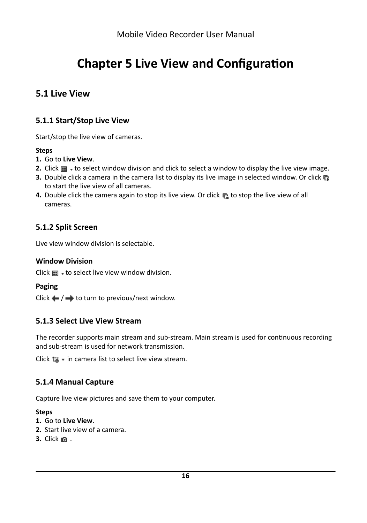# <span id="page-25-0"></span>**Chapter 5 Live View and Configuration**

## **5.1 Live View**

## **5.1.1 Start/Stop Live View**

Start/stop the live view of cameras.

#### **Steps**

- **1.** Go to **Live View**.
- **2.** Click  $\blacksquare$   $\blacktriangleright$  to select window division and click to select a window to display the live view image.
- **3.** Double click a camera in the camera list to display its live image in selected window. Or click  $\mathbb{F}_2$ to start the live view of all cameras.
- 4. Double click the camera again to stop its live view. Or click **the live of older** to stop the live view of all cameras.

## **5.1.2 Split Screen**

Live view window division is selectable.

#### **Window Division**

Click  $\blacksquare$   $\blacktriangleright$  to select live view window division.

#### **Paging**

Click  $\leftarrow$  / $\rightarrow$  to turn to previous/next window.

#### **5.1.3 Select Live View Stream**

The recorder supports main stream and sub-stream. Main stream is used for continuous recording and sub-stream is used for network transmission.

Click  $\mathbf{r}_0$   $\cdot$  in camera list to select live view stream.

### **5.1.4 Manual Capture**

Capture live view pictures and save them to your computer.

- **1.** Go to **Live View**.
- **2.** Start live view of a camera.
- **3.** Click **a** .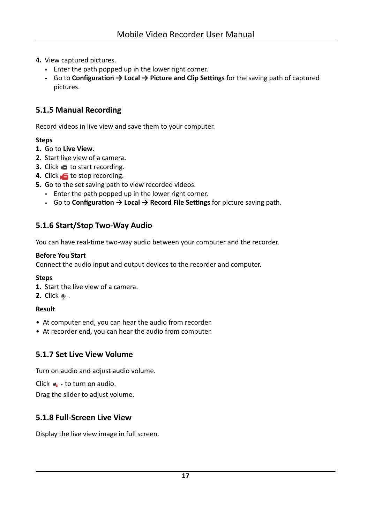- <span id="page-26-0"></span>**4.** View captured pictures.
	- **-** Enter the path popped up in the lower right corner.
	- **-** Go to **Configuration → Local → Picture and Clip Settings** for the saving path of captured pictures.

### **5.1.5 Manual Recording**

Record videos in live view and save them to your computer.

#### **Steps**

- **1.** Go to **Live View**.
- **2.** Start live view of a camera.
- **3.** Click **6** to start recording.
- **4.** Click **to** stop recording.
- **5.** Go to the set saving path to view recorded videos.
	- **-** Enter the path popped up in the lower right corner.
	- **-** Go to **Configuration → Local → Record File Settings** for picture saving path.

### **5.1.6 Start/Stop Two-Way Audio**

You can have real-time two-way audio between your computer and the recorder.

#### **Before You Start**

Connect the audio input and output devices to the recorder and computer.

#### **Steps**

- **1.** Start the live view of a camera.
- **2.** Click  $\bullet$  .

#### **Result**

- At computer end, you can hear the audio from recorder.
- At recorder end, you can hear the audio from computer.

#### **5.1.7 Set Live View Volume**

Turn on audio and adjust audio volume.

Click  $\triangle$  + to turn on audio.

Drag the slider to adjust volume.

#### **5.1.8 Full-Screen Live View**

Display the live view image in full screen.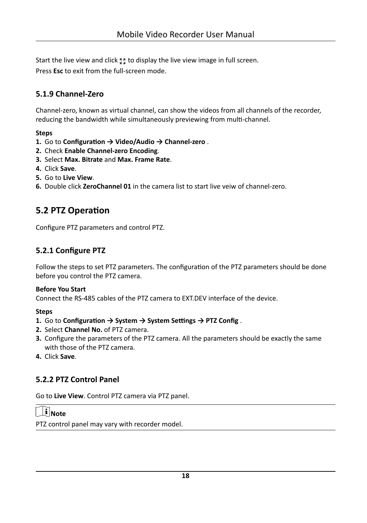<span id="page-27-0"></span>Start the live view and click to display the live view image in full screen.

Press **Esc** to exit from the full-screen mode.

## **5.1.9 Channel-Zero**

Channel-zero, known as virtual channel, can show the videos from all channels of the recorder, reducing the bandwidth while simultaneously previewing from multi-channel.

#### **Steps**

- **1.** Go to Configuration → Video/Audio → Channel-zero .
- **2.** Check **Enable Channel-zero Encoding**.
- **3.** Select **Max. Bitrate** and **Max. Frame Rate**.
- **4.** Click **Save**.
- **5.** Go to **Live View**.
- **6.** Double click **ZeroChannel 01** in the camera list to start live veiw of channel-zero.

# **5.2 PTZ Operation**

Configure PTZ parameters and control PTZ.

## **5.2.1 Configure PTZ**

Follow the steps to set PTZ parameters. The configuration of the PTZ parameters should be done before you control the PTZ camera.

#### **Before You Start**

Connect the RS-485 cables of the PTZ camera to EXT.DEV interface of the device.

#### **Steps**

- **1.** Go to Configuration → System → System Settings → PTZ Config.
- **2.** Select **Channel No.** of PTZ camera.
- **3.** Configure the parameters of the PTZ camera. All the parameters should be exactly the same with those of the PTZ camera.
- **4.** Click **Save**.

### **5.2.2 PTZ Control Panel**

Go to **Live View**. Control PTZ camera via PTZ panel.

# **Note**

PTZ control panel may vary with recorder model.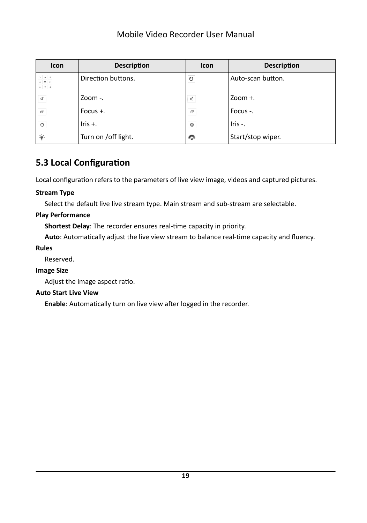<span id="page-28-0"></span>

| Icon                                                                                                                       | <b>Description</b>  | <b>Icon</b>  | <b>Description</b> |
|----------------------------------------------------------------------------------------------------------------------------|---------------------|--------------|--------------------|
| $\begin{array}{c c c c} \star & \star & \star \\ \star & \bullet & \star \end{array}$<br>$\bullet$ - $\bullet$ - $\bullet$ | Direction buttons.  | U            | Auto-scan button.  |
| $\mathsf{q}^\text{-}$                                                                                                      | Zoom $-$ .          | ď            | $200m +$ .         |
| $\bar{\square}^1$                                                                                                          | Focus $+$ .         | $\mathbb{P}$ | Focus -.           |
| $\circ$                                                                                                                    | Iris $+$ .          | o            | $lris -$ .         |
| $\bullet$                                                                                                                  | Turn on /off light. | ņ            | Start/stop wiper.  |

# 5.3 Local Configuration

Local configuration refers to the parameters of live view image, videos and captured pictures.

#### **Stream Type**

Select the default live live stream type. Main stream and sub-stream are selectable.

#### **Play Performance**

Shortest Delay: The recorder ensures real-time capacity in priority.

Auto: Automatically adjust the live view stream to balance real-time capacity and fluency.

#### **Rules**

Reserved.

#### **Image Size**

Adjust the image aspect ratio.

#### **Auto Start Live View**

Enable: Automatically turn on live view after logged in the recorder.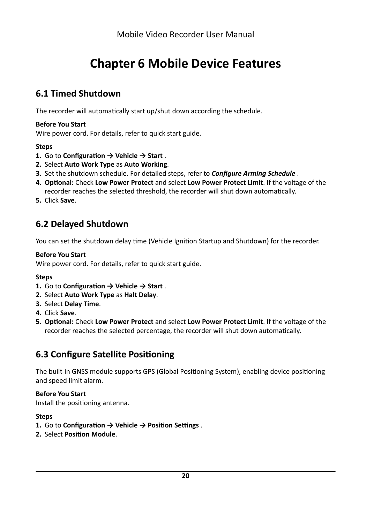# **Chapter 6 Mobile Device Features**

## <span id="page-29-0"></span>**6.1 Timed Shutdown**

The recorder will automatically start up/shut down according the schedule.

#### **Before You Start**

Wire power cord. For details, refer to quick start guide.

#### **Steps**

- **1.** Go to **Configuration**  $\rightarrow$  Vehicle  $\rightarrow$  Start.
- **2.** Select **Auto Work Type** as **Auto Working**.
- **3.** Set the shutdown schedule. For detailed steps, refer to *Configure Arming Schedule*.
- 4. **Optional:** Check Low Power Protect and select Low Power Protect Limit. If the voltage of the recorder reaches the selected threshold, the recorder will shut down automatically.
- **5.** Click **Save**.

## **6.2 Delayed Shutdown**

You can set the shutdown delay time (Vehicle Ignition Startup and Shutdown) for the recorder.

#### **Before You Start**

Wire power cord. For details, refer to quick start guide.

#### **Steps**

- **1.** Go to **Configuration** → Vehicle → Start.
- **2.** Select **Auto Work Type** as **Halt Delay**.
- **3.** Select **Delay Time**.
- **4.** Click **Save**.
- **5. Optional: Check Low Power Protect** and select Low Power Protect Limit. If the voltage of the recorder reaches the selected percentage, the recorder will shut down automatically.

# **6.3 Configure Satellite Positioning**

The built-in GNSS module supports GPS (Global Positioning System), enabling device positioning and speed limit alarm.

#### **Before You Start**

Install the positioning antenna.

- **1.** Go to Configuration → Vehicle → Position Settings.
- **2.** Select **Position Module**.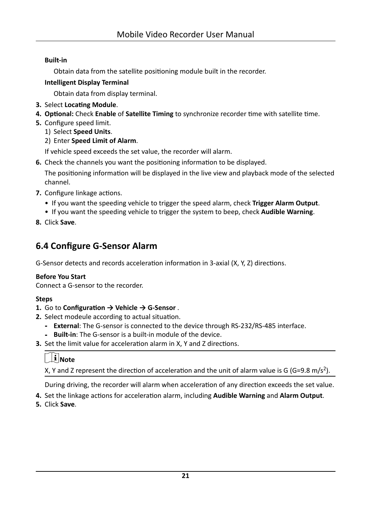#### <span id="page-30-0"></span>**Built-in**

Obtain data from the satellite positioning module built in the recorder.

#### **Intelligent Display Terminal**

Obtain data from display terminal.

- 3. Select Locating Module.
- 4. Optional: Check Enable of Satellite Timing to synchronize recorder time with satellite time.
- 5. Configure speed limit.
	- 1) Select Speed Units.
	- 2) Enter Speed Limit of Alarm.

If vehicle speed exceeds the set value, the recorder will alarm.

6. Check the channels you want the positioning information to be displayed.

The positioning information will be displayed in the live view and playback mode of the selected channel.

- 7. Configure linkage actions.
	- If you want the speeding vehicle to trigger the speed alarm, check Trigger Alarm Output.
	- If you want the speeding vehicle to trigger the system to beep, check Audible Warning.
- 8. Click Save.

# **6.4 Configure G-Sensor Alarm**

G-Sensor detects and records acceleration information in 3-axial (X, Y, Z) directions.

#### **Before You Start**

Connect a G-sensor to the recorder.

#### **Steps**

- 1. Go to Configuration  $\rightarrow$  Vehicle  $\rightarrow$  G-Sensor.
- 2. Select modeule according to actual situation.
	- External: The G-sensor is connected to the device through RS-232/RS-485 interface.
	- Built-in: The G-sensor is a built-in module of the device.
- 3. Set the limit value for acceleration alarm in X, Y and Z directions.

# $\widehat{[1]}$ Note

X, Y and Z represent the direction of acceleration and the unit of alarm value is G (G=9.8 m/s<sup>2</sup>).

During driving, the recorder will alarm when acceleration of any direction exceeds the set value.

- 4. Set the linkage actions for acceleration alarm, including Audible Warning and Alarm Output.
- 5. Click Save.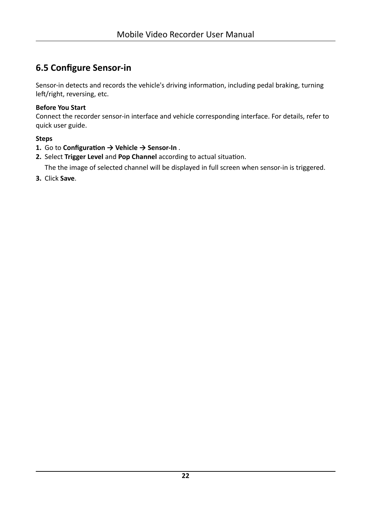# <span id="page-31-0"></span>**6.5 Configure Sensor-in**

Sensor-in detects and records the vehicle's driving information, including pedal braking, turning left/right, reversing, etc.

#### **Before You Start**

Connect the recorder sensor-in interface and vehicle corresponding interface. For details, refer to quick user guide.

#### **Steps**

- **1.** Go to Configuration → Vehicle → Sensor-In .
- 2. Select Trigger Level and Pop Channel according to actual situation.

The the image of selected channel will be displayed in full screen when sensor-in is triggered.

**3.** Click **Save**.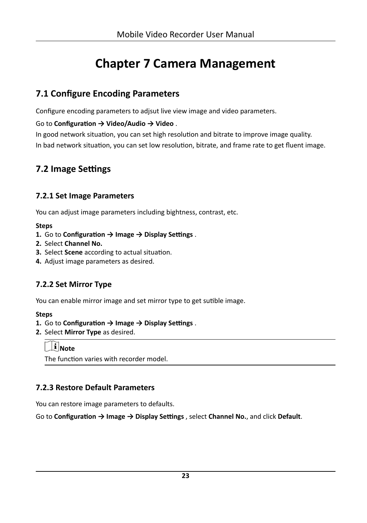# **Chapter 7 Camera Management**

## <span id="page-32-0"></span>**7.1 Configure Encoding Parameters**

Configure encoding parameters to adjsut live view image and video parameters.

Go to **Configuration → Video/Audio** → Video.

In good network situation, you can set high resolution and bitrate to improve image quality. In bad network situation, you can set low resolution, bitrate, and frame rate to get fluent image.

## **7.2 Image Settings**

### **7.2.1 Set Image Parameters**

You can adjust image parameters including bightness, contrast, etc.

#### **Steps**

- **1.** Go to **Configuration**  $\rightarrow$  **Image**  $\rightarrow$  **Display Settings** .
- **2.** Select **Channel No.**
- **3.** Select **Scene** according to actual situation.
- **4.** Adjust image parameters as desired.

## **7.2.2 Set Mirror Type**

You can enable mirror image and set mirror type to get sutible image.

#### **Steps**

- **1.** Go to Configuration → Image → Display Settings.
- **2.** Select **Mirror Type** as desired.

## **Note**

The function varies with recorder model.

## **7.2.3 Restore Default Parameters**

You can restore image parameters to defaults.

Go to Configuration → Image → Display Settings, select Channel No., and click Default.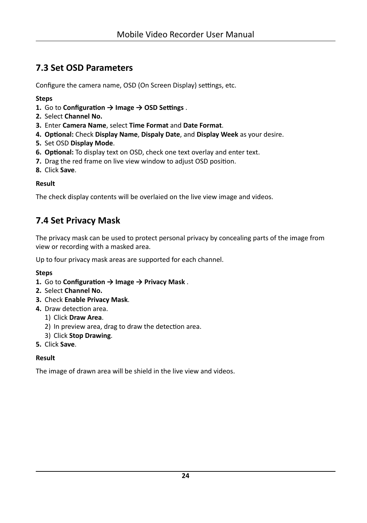# <span id="page-33-0"></span>**7.3 Set OSD Parameters**

Configure the camera name, OSD (On Screen Display) settings, etc.

#### **Steps**

- **1.** Go to **Configuration**  $\rightarrow$  **Image**  $\rightarrow$  **OSD Settings** .
- **2.** Select **Channel No.**
- **3.** Enter **Camera Name**, select **Time Format** and **Date Format**.
- **4. Optional: Check Display Name, Dispaly Date, and Display Week as your desire.**
- **5.** Set OSD **Display Mode**.
- **6. Optional:** To display text on OSD, check one text overlay and enter text.
- **7.** Drag the red frame on live view window to adjust OSD position.
- **8.** Click **Save**.

#### **Result**

The check display contents will be overlaied on the live view image and videos.

# **7.4 Set Privacy Mask**

The privacy mask can be used to protect personal privacy by concealing parts of the image from view or recording with a masked area.

Up to four privacy mask areas are supported for each channel.

#### **Steps**

- **1.** Go to **Configuration**  $\rightarrow$  **Image**  $\rightarrow$  **Privacy Mask** .
- **2.** Select **Channel No.**
- **3.** Check **Enable Privacy Mask**.
- **4.** Draw detection area.
	- 1) Click **Draw Area**.
	- 2) In preview area, drag to draw the detection area.
	- 3) Click **Stop Drawing**.
- **5.** Click **Save**.

#### **Result**

The image of drawn area will be shield in the live view and videos.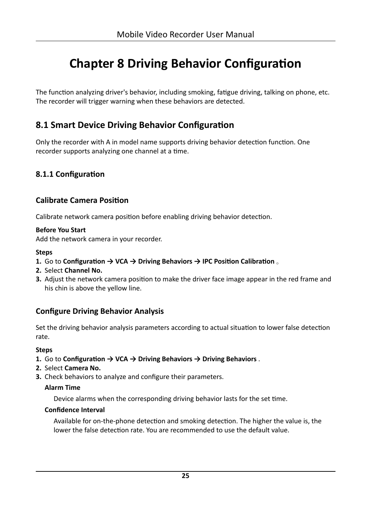# <span id="page-34-0"></span>**Chapter 8 Driving Behavior Configuration**

The function analyzing driver's behavior, including smoking, fatigue driving, talking on phone, etc. The recorder will trigger warning when these behaviors are detected.

## **8.1 Smart Device Driving Behavior Configuration**

Only the recorder with A in model name supports driving behavior detection function. One recorder supports analyzing one channel at a time.

### **8.1.1 Configuration**

#### **Calibrate Camera Position**

Calibrate network camera position before enabling driving behavior detection.

#### **Before You Start**

Add the network camera in your recorder.

#### **Steps**

- **1.** Go to Configuration → VCA → Driving Behaviors → IPC Position Calibration 。
- **2.** Select **Channel No.**
- **3.** Adjust the network camera position to make the driver face image appear in the red frame and his chin is above the yellow line.

#### **Configure Driving Behavior Analysis**

Set the driving behavior analysis parameters according to actual situation to lower false detection rate.

#### **Steps**

- **1.** Go to Configuration → VCA → Driving Behaviors → Driving Behaviors .
- **2.** Select **Camera No.**
- **3.** Check behaviors to analyze and configure their parameters.

#### **Alarm Time**

Device alarms when the corresponding driving behavior lasts for the set time.

#### **Confidence Interval**

Available for on-the-phone detection and smoking detection. The higher the value is, the lower the false detection rate. You are recommended to use the default value.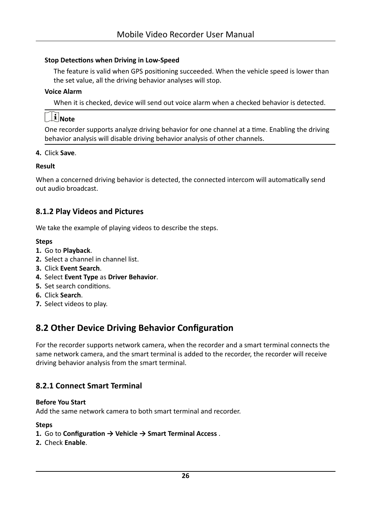#### <span id="page-35-0"></span>**Stop Detections when Driving in Low-Speed**

The feature is valid when GPS positioning succeeded. When the vehicle speed is lower than the set value, all the driving behavior analyses will stop.

#### **Voice Alarm**

When it is checked, device will send out voice alarm when a checked behavior is detected.

# **Note**

One recorder supports analyze driving behavior for one channel at a time. Enabling the driving behavior analysis will disable driving behavior analysis of other channels.

#### **4.** Click **Save**.

#### **Result**

When a concerned driving behavior is detected, the connected intercom will automatically send out audio broadcast.

#### **8.1.2 Play Videos and Pictures**

We take the example of playing videos to describe the steps.

#### **Steps**

- **1.** Go to **Playback**.
- **2.** Select a channel in channel list.
- **3.** Click **Event Search**.
- **4.** Select **Event Type** as **Driver Behavior**.
- **5.** Set search conditions.
- **6.** Click **Search**.
- **7.** Select videos to play.

## **8.2 Other Device Driving Behavior Configuration**

For the recorder supports network camera, when the recorder and a smart terminal connects the same network camera, and the smart terminal is added to the recorder, the recorder will receive driving behavior analysis from the smart terminal.

#### **8.2.1 Connect Smart Terminal**

#### **Before You Start**

Add the same network camera to both smart terminal and recorder.

- **1.** Go to Configuration → Vehicle → Smart Terminal Access .
- **2.** Check **Enable**.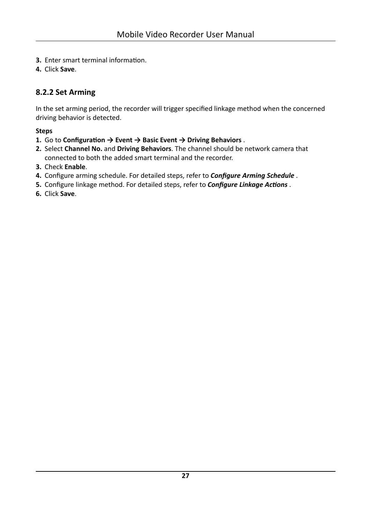- <span id="page-36-0"></span>**3.** Enter smart terminal information.
- **4.** Click **Save**.

## **8.2.2 Set Arming**

In the set arming period, the recorder will trigger specified linkage method when the concerned driving behavior is detected.

- **1.** Go to Configuration → Event → Basic Event → Driving Behaviors .
- **2.** Select **Channel No.** and **Driving Behaviors**. The channel should be network camera that connected to both the added smart terminal and the recorder.
- **3.** Check **Enable**.
- 4. Configure arming schedule. For detailed steps, refer to *Configure Arming Schedule* .
- 5. Configure linkage method. For detailed steps, refer to *Configure Linkage Actions* .
- **6.** Click **Save**.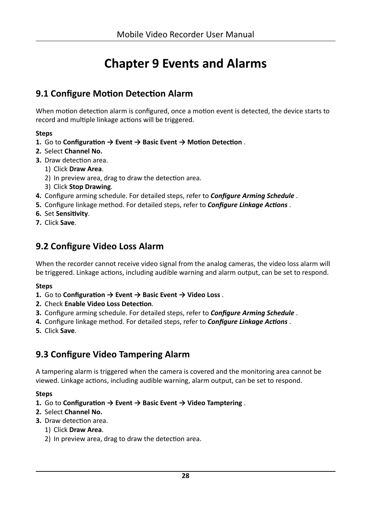# **Chapter 9 Events and Alarms**

## <span id="page-37-0"></span>**9.1 Configure Motion Detection Alarm**

When motion detection alarm is configured, once a motion event is detected, the device starts to record and multiple linkage actions will be triggered.

#### **Steps**

- **1.** Go to Configuration → Event → Basic Event → Motion Detection .
- **2.** Select **Channel No.**
- **3.** Draw detection area.
	- 1) Click **Draw Area**.
	- 2) In preview area, drag to draw the detection area.
	- 3) Click **Stop Drawing**.
- 4. Configure arming schedule. For detailed steps, refer to *Configure Arming Schedule* .
- **5.** Configure linkage method. For detailed steps, refer to *Configure Linkage Actions* .
- **6.** Set Sensitivity.
- **7.** Click **Save**.

## **9.2 Configure Video Loss Alarm**

When the recorder cannot receive video signal from the analog cameras, the video loss alarm will be triggered. Linkage actions, including audible warning and alarm output, can be set to respond.

#### **Steps**

- **1.** Go to Configuration → Event → Basic Event → Video Loss .
- **2.** Check Enable Video Loss Detection.
- **3.** Configure arming schedule. For detailed steps, refer to *Configure Arming Schedule* .
- **4.** Configure linkage method. For detailed steps, refer to *Configure Linkage Actions*.
- **5.** Click **Save**.

## **9.3 Configure Video Tampering Alarm**

A tampering alarm is triggered when the camera is covered and the monitoring area cannot be viewed. Linkage actions, including audible warning, alarm output, can be set to respond.

#### **Steps**

- **1.** Go to **Configuration**  $\rightarrow$  Event  $\rightarrow$  Basic Event  $\rightarrow$  Video Tamptering .
- **2.** Select **Channel No.**
- **3.** Draw detection area.

#### 1) Click **Draw Area**.

2) In preview area, drag to draw the detection area.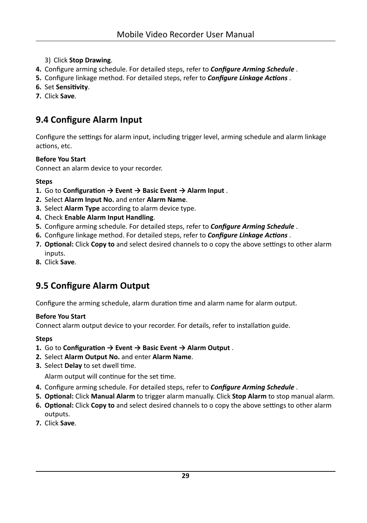- <span id="page-38-0"></span>3) Click **Stop Drawing**.
- 4. Configure arming schedule. For detailed steps, refer to **Configure Arming Schedule**.
- **5.** Configure linkage method. For detailed steps, refer to *Configure Linkage Actions*.
- **6.** Set Sensitivity.
- **7.** Click **Save**.

# **9.4 Configure Alarm Input**

Configure the settings for alarm input, including trigger level, arming schedule and alarm linkage actions, etc.

#### **Before You Start**

Connect an alarm device to your recorder.

#### **Steps**

- **1.** Go to Configuration → Event → Basic Event → Alarm Input.
- **2.** Select **Alarm Input No.** and enter **Alarm Name**.
- **3.** Select **Alarm Type** according to alarm device type.
- **4.** Check **Enable Alarm Input Handling**.
- 5. Configure arming schedule. For detailed steps, refer to **Configure Arming Schedule** .
- **6.** Configure linkage method. For detailed steps, refer to *Configure Linkage Actions*.
- 7. **Optional:** Click Copy to and select desired channels to o copy the above settings to other alarm inputs.
- **8.** Click **Save**.

# **9.5 Configure Alarm Output**

Configure the arming schedule, alarm duration time and alarm name for alarm output.

#### **Before You Start**

Connect alarm output device to your recorder. For details, refer to installation guide.

#### **Steps**

- **1.** Go to Configuration  $\rightarrow$  Event  $\rightarrow$  Basic Event  $\rightarrow$  Alarm Output .
- **2.** Select **Alarm Output No.** and enter **Alarm Name**.
- **3.** Select **Delay** to set dwell time.

Alarm output will continue for the set time.

- 4. Configure arming schedule. For detailed steps, refer to **Configure Arming Schedule** .
- **5. Optional: Click Manual Alarm** to trigger alarm manually. Click **Stop Alarm** to stop manual alarm.
- **6. Optional:** Click **Copy to** and select desired channels to o copy the above settings to other alarm outputs.
- **7.** Click **Save**.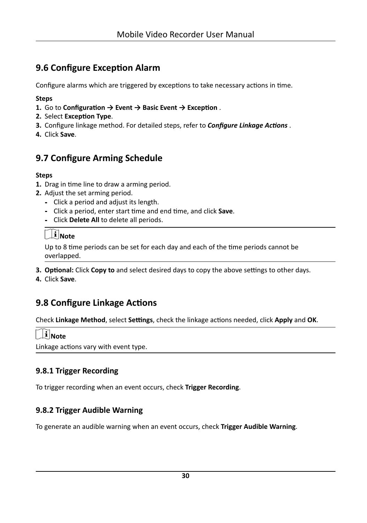# <span id="page-39-0"></span>**9.6 Configure Exception Alarm**

Configure alarms which are triggered by exceptions to take necessary actions in time.

#### **Steps**

- **1.** Go to Configuration → Event → Basic Event → Exception .
- **2.** Select **Exception Type**.
- **3.** Configure linkage method. For detailed steps, refer to *Configure Linkage Actions* .
- **4.** Click **Save**.

# **9.7 Configure Arming Schedule**

#### **Steps**

- **1.** Drag in time line to draw a arming period.
- **2.** Adjust the set arming period.
	- **-** Click a period and adjust its length.
	- **-** Click a period, enter start timĞ and end timĞ͕ and click **Save**.
	- **-** Click **Delete All** to delete all periods.

# **Note**

Up to 8 time periods can be set for each day and each of the time periods cannot be overlapped.

**3. Optional:** Click **Copy to** and select desired days to copy the above settings to other days.

**4.** Click **Save**.

# **9.8 Configure Linkage Actions**

Check Linkage Method, select Settings, check the linkage actions needed, click Apply and OK.

# $\widetilde{\mathbf{1}}$  Note

Linkage actions vary with event type.

## **9.8.1 Trigger Recording**

To trigger recording when an event occurs, check **Trigger Recording**.

## **9.8.2 Trigger Audible Warning**

To generate an audible warning when an event occurs, check **Trigger Audible Warning**.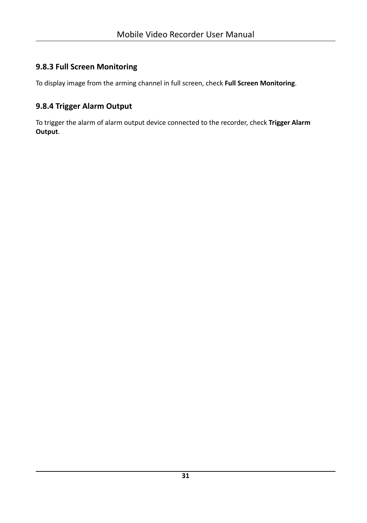## <span id="page-40-0"></span>**9.8.3 Full Screen Monitoring**

To display image from the arming channel in full screen, check **Full Screen Monitoring**.

## **9.8.4 Trigger Alarm Output**

To trigger the alarm of alarm output device connected to the recorder, check **Trigger Alarm Output**.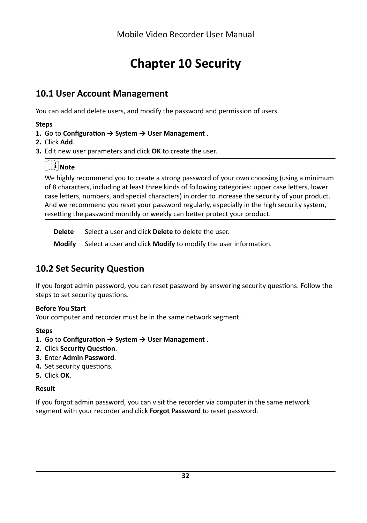# **Chapter 10 Security**

## <span id="page-41-0"></span>**10.1 User Account Management**

You can add and delete users, and modify the password and permission of users.

#### **Steps**

- **1.** Go to **Configuration**  $\rightarrow$  System  $\rightarrow$  User Management.
- **2.** Click **Add**.
- **3.** Edit new user parameters and click **OK** to create the user.

## **Note**

We highly recommend you to create a strong password of your own choosing (using a minimum of 8 characters, including at least three kinds of following categories: upper case letters, lower case letters, numbers, and special characters) in order to increase the security of your product. And we recommend you reset your password regularly, especially in the high security system, resetting the password monthly or weekly can better protect your product.

**Delete** Select a user and click **Delete** to delete the user.

**Modify** Select a user and click **Modify** to modify the user information.

# **10.2 Set Security Question**

If you forgot admin password, you can reset password by answering security questions. Follow the steps to set security questions.

#### **Before You Start**

Your computer and recorder must be in the same network segment.

#### **Steps**

- **1.** Go to **Configuration**  $\rightarrow$  System  $\rightarrow$  User Management.
- **2.** Click **Security Question**.
- **3.** Enter **Admin Password**.
- **4.** Set security questions.
- **5.** Click **OK**.

#### **Result**

If you forgot admin password, you can visit the recorder via computer in the same network segment with your recorder and click **Forgot Password** to reset password.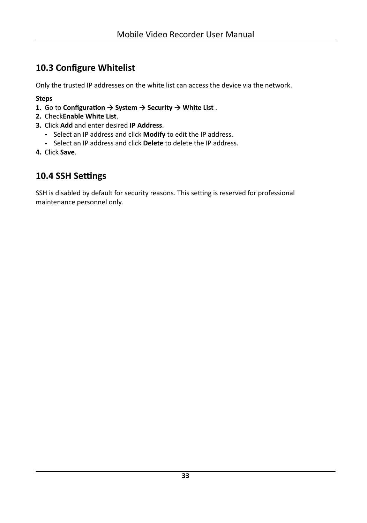# <span id="page-42-0"></span>**10.3 Configure Whitelist**

Only the trusted IP addresses on the white list can access the device via the network.

**Steps**

- **1.** Go to **Configuration** → System → Security → White List .
- **2.** Check**Enable White List**.
- **3.** Click **Add** and enter desired **IP Address**.
	- **-** Select an IP address and click **Modify** to edit the IP address.
	- **-** Select an IP address and click **Delete** to delete the IP address.
- **4.** Click **Save**.

## **10.4 SSH Settings**

SSH is disabled by default for security reasons. This setting is reserved for professional maintenance personnel only.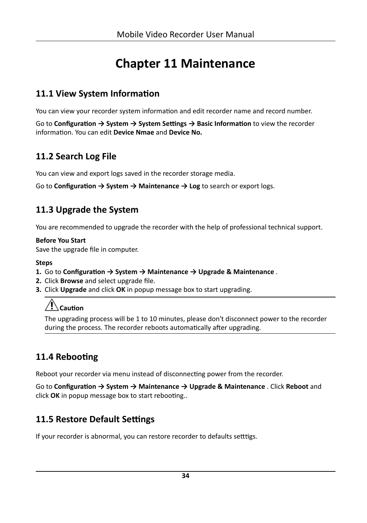# **Chapter 11 Maintenance**

## <span id="page-43-0"></span>11.1 View System Information

You can view your recorder system information and edit recorder name and record number.

Go to Configuration  $\rightarrow$  System  $\rightarrow$  System Settings  $\rightarrow$  Basic Information to view the recorder information. You can edit Device Nmae and Device No.

## 11.2 Search Log File

You can view and export logs saved in the recorder storage media.

Go to **Configuration**  $\rightarrow$  **System**  $\rightarrow$  **Maintenance**  $\rightarrow$  **Log** to search or export logs.

## 11.3 Upgrade the System

You are recommended to upgrade the recorder with the help of professional technical support.

#### **Before You Start**

Save the upgrade file in computer.

#### **Steps**

- 1. Go to Configuration  $\rightarrow$  System  $\rightarrow$  Maintenance  $\rightarrow$  Upgrade & Maintenance.
- 2. Click Browse and select upgrade file.
- 3. Click Upgrade and click OK in popup message box to start upgrading.

# $/!\backslash$ Caution

The upgrading process will be 1 to 10 minutes, please don't disconnect power to the recorder during the process. The recorder reboots automatically after upgrading.

# 11.4 Rebooting

Reboot your recorder via menu instead of disconnecting power from the recorder.

Go to Configuration  $\rightarrow$  System  $\rightarrow$  Maintenance  $\rightarrow$  Upgrade & Maintenance . Click Reboot and click OK in popup message box to start rebooting...

# 11.5 Restore Default Settings

If your recorder is abnormal, you can restore recorder to defaults setttigs.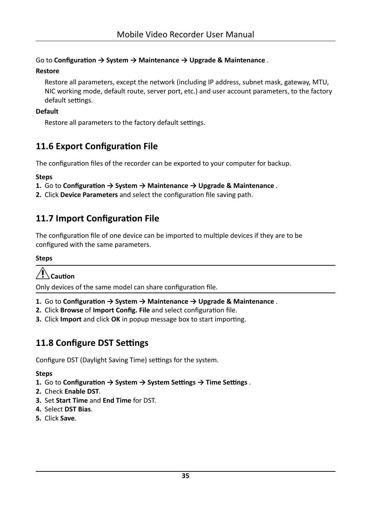#### <span id="page-44-0"></span>Go to Configuration  $\rightarrow$  System  $\rightarrow$  Maintenance  $\rightarrow$  Upgrade & Maintenance.

#### **Restore**

Restore all parameters, except the network (including IP address, subnet mask, gateway, MTU, NIC working mode, default route, server port, etc.) and user account parameters, to the factory default settings.

#### **Default**

Restore all parameters to the factory default settings.

# 11.6 Export Configuration File

The configuration files of the recorder can be exported to your computer for backup.

#### **Steps**

- 1. Go to Configuration  $\rightarrow$  System  $\rightarrow$  Maintenance  $\rightarrow$  Upgrade & Maintenance.
- 2. Click Device Parameters and select the configuration file saving path.

## 11.7 Import Configuration File

The configuration file of one device can be imported to multiple devices if they are to be configured with the same parameters.

#### **Steps**

# **Caution**

Only devices of the same model can share configuration file.

- 1. Go to Configuration  $\rightarrow$  System  $\rightarrow$  Maintenance  $\rightarrow$  Upgrade & Maintenance.
- 2. Click Browse of Import Config. File and select configuration file.
- 3. Click Import and click OK in popup message box to start importing.

## 11.8 Configure DST Settings

Configure DST (Daylight Saving Time) settings for the system.

- 1. Go to Configuration  $\rightarrow$  System  $\rightarrow$  System Settings  $\rightarrow$  Time Settings.
- 2. Check Enable DST.
- 3. Set Start Time and End Time for DST.
- 4. Select DST Bias.
- 5. Click Save.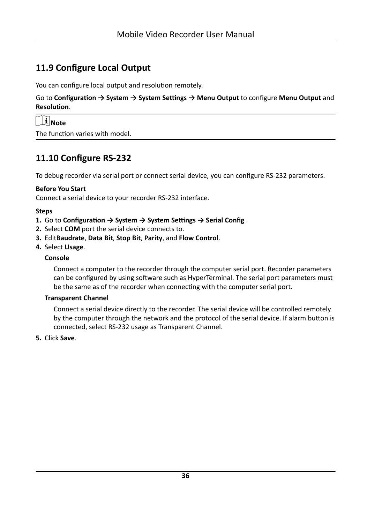## <span id="page-45-0"></span>**11.9 Configure Local Output**

You can configure local output and resolution remotely.

Go to Configuration → System → System Settings → Menu Output to configure Menu Output and **Resolution.** 

| $\mathbf{I}$ Note |
|-------------------|
|                   |

The function varies with model.

## **11.10 Configure RS-232**

To debug recorder via serial port or connect serial device, you can configure RS-232 parameters.

#### **Before You Start**

Connect a serial device to your recorder RS-232 interface.

#### **Steps**

- **1.** Go to Configuration → System → System Settings → Serial Config.
- **2.** Select **COM** port the serial device connects to.
- **3.** Edit**Baudrate**, **Data Bit**, **Stop Bit**, **Parity**, and **Flow Control**.
- **4.** Select **Usage**.

#### **Console**

Connect a computer to the recorder through the computer serial port. Recorder parameters can be configured by using software such as HyperTerminal. The serial port parameters must be the same as of the recorder when connecting with the computer serial port.

#### **Transparent Channel**

Connect a serial device directly to the recorder. The serial device will be controlled remotely by the computer through the network and the protocol of the serial device. If alarm button is connected, select RS-232 usage as Transparent Channel.

#### **5.** Click **Save**.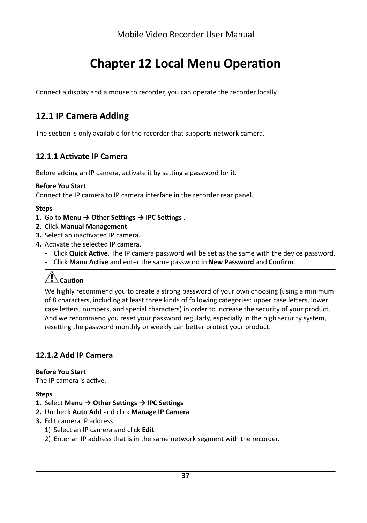# **Chapter 12 Local Menu Operation**

<span id="page-46-0"></span>Connect a display and a mouse to recorder, you can operate the recorder locally.

## **12.1 IP Camera Adding**

The section is only available for the recorder that supports network camera.

### **12.1.1 Activate IP Camera**

Before adding an IP camera, activate it by setting a password for it.

#### **Before You Start**

Connect the IP camera to IP camera interface in the recorder rear panel.

#### **Steps**

- **1.** Go to **Menu → Other Settings → IPC Settings**.
- **2.** Click **Manual Management**.
- **3.** Select an inactivated IP camera.
- 4. Activate the selected IP camera.
	- Click **Quick Active**. The IP camera password will be set as the same with the device password.
	- **-** Click Manu Active and enter the same password in New Password and Confirm.

# **A**Caution

We highly recommend you to create a strong password of your own choosing (using a minimum of 8 characters, including at least three kinds of following categories: upper case letters, lower case letters, numbers, and special characters) in order to increase the security of your product. And we recommend you reset your password regularly, especially in the high security system, resetting the password monthly or weekly can better protect your product.

### **12.1.2 Add IP Camera**

#### **Before You Start**

The IP camera is active.

- **1.** Select Menu → Other Settings → IPC Settings
- **2.** Uncheck **Auto Add** and click **Manage IP Camera**.
- **3.** Edit camera IP address.
	- 1) Select an IP camera and click **Edit**.
	- 2) Enter an IP address that is in the same network segment with the recorder.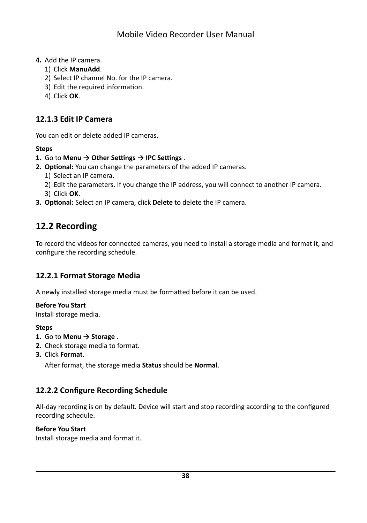- <span id="page-47-0"></span>**4.** Add the IP camera.
	- 1) Click **ManuAdd**.
	- 2) Select IP channel No. for the IP camera.
	- 3) Edit the required information.
	- 4) Click **OK**.

#### **12.1.3 Edit IP Camera**

You can edit or delete added IP cameras.

#### **Steps**

#### **1.** Go to **Menu → Other Settings → IPC Settings** .

- **2. Optional:** You can change the parameters of the added IP cameras.
	- 1) Select an IP camera.
	- 2) Edit the parameters. If you change the IP address, you will connect to another IP camera.
	- 3) Click **OK**.
- **3. Optional:** Select an IP camera, click **Delete** to delete the IP camera.

## **12.2 Recording**

To record the videos for connected cameras, you need to install a storage media and format it, and configure the recording schedule.

#### **12.2.1 Format Storage Media**

A newly installed storage media must be formatted before it can be used.

#### **Before You Start**

Install storage media.

#### **Steps**

- **1.** Go to **Menu → Storage** .
- **2.** Check storage media to format.
- **3.** Click **Format**.

After format, the storage media Status should be Normal.

#### **12.2.2 Configure Recording Schedule**

All-day recording is on by default. Device will start and stop recording according to the configured recording schedule.

#### **Before You Start**

Install storage media and format it.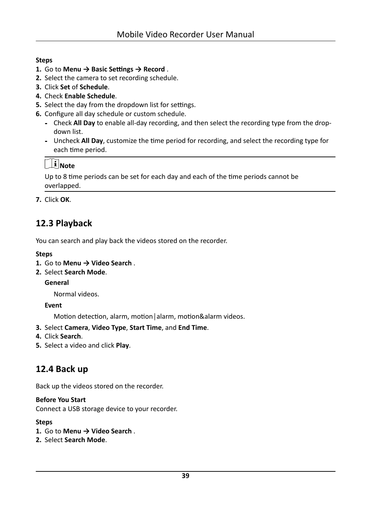#### <span id="page-48-0"></span>**Steps**

- 1. Go to Menu  $\rightarrow$  Basic Settings  $\rightarrow$  Record.
- 2. Select the camera to set recording schedule.
- 3. Click Set of Schedule.
- 4. Check Enable Schedule.
- 5. Select the day from the dropdown list for settings.
- 6. Configure all day schedule or custom schedule.
	- Check All Day to enable all-day recording, and then select the recording type from the dropdown list.
	- Uncheck All Day, customize the time period for recording, and select the recording type for each time period.

# $\widehat{\mathbf{I}}$  Note

Up to 8 time periods can be set for each day and each of the time periods cannot be overlapped.

7. Click OK.

# 12.3 Playback

You can search and play back the videos stored on the recorder.

#### **Steps**

- 1. Go to Menu  $\rightarrow$  Video Search.
- 2. Select Search Mode.

General

Normal videos.

Event

Motion detection, alarm, motion | alarm, motion&alarm videos.

- 3. Select Camera, Video Type, Start Time, and End Time.
- 4. Click Search.
- 5. Select a video and click Play.

## 12.4 Back up

Back up the videos stored on the recorder.

#### **Before You Start**

Connect a USB storage device to your recorder.

- 1. Go to Menu  $\rightarrow$  Video Search.
- 2. Select Search Mode.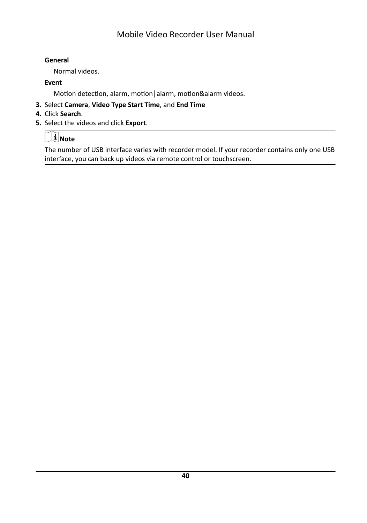#### General

Normal videos.

#### Event

Motion detection, alarm, motion | alarm, motion&alarm videos.

- 3. Select Camera, Video Type Start Time, and End Time
- 4. Click Search.
- 5. Select the videos and click Export.

# $\Box$ Note

The number of USB interface varies with recorder model. If your recorder contains only one USB interface, you can back up videos via remote control or touchscreen.